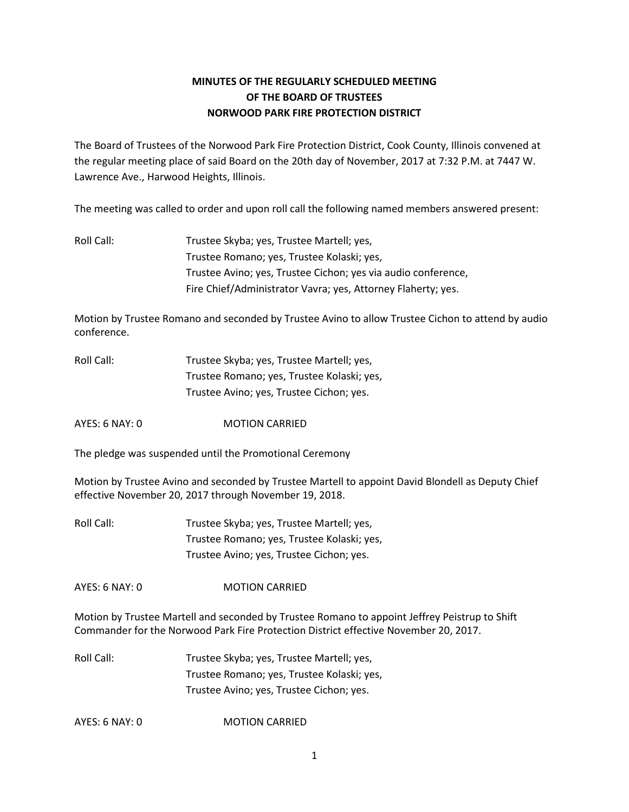# **MINUTES OF THE REGULARLY SCHEDULED MEETING OF THE BOARD OF TRUSTEES NORWOOD PARK FIRE PROTECTION DISTRICT**

The Board of Trustees of the Norwood Park Fire Protection District, Cook County, Illinois convened at the regular meeting place of said Board on the 20th day of November, 2017 at 7:32 P.M. at 7447 W. Lawrence Ave., Harwood Heights, Illinois.

The meeting was called to order and upon roll call the following named members answered present:

Roll Call: Trustee Skyba; yes, Trustee Martell; yes, Trustee Romano; yes, Trustee Kolaski; yes, Trustee Avino; yes, Trustee Cichon; yes via audio conference, Fire Chief/Administrator Vavra; yes, Attorney Flaherty; yes.

Motion by Trustee Romano and seconded by Trustee Avino to allow Trustee Cichon to attend by audio conference.

| Roll Call: | Trustee Skyba; yes, Trustee Martell; yes,  |
|------------|--------------------------------------------|
|            | Trustee Romano; yes, Trustee Kolaski; yes, |
|            | Trustee Avino; yes, Trustee Cichon; yes.   |

AYES: 6 NAY: 0 **MOTION CARRIED** 

The pledge was suspended until the Promotional Ceremony

Motion by Trustee Avino and seconded by Trustee Martell to appoint David Blondell as Deputy Chief effective November 20, 2017 through November 19, 2018.

Roll Call: Trustee Skyba; yes, Trustee Martell; yes, Trustee Romano; yes, Trustee Kolaski; yes, Trustee Avino; yes, Trustee Cichon; yes.

AYES: 6 NAY: 0 MOTION CARRIED

Motion by Trustee Martell and seconded by Trustee Romano to appoint Jeffrey Peistrup to Shift Commander for the Norwood Park Fire Protection District effective November 20, 2017.

Roll Call: Trustee Skyba; yes, Trustee Martell; yes, Trustee Romano; yes, Trustee Kolaski; yes, Trustee Avino; yes, Trustee Cichon; yes.

AYES: 6 NAY: 0 MOTION CARRIED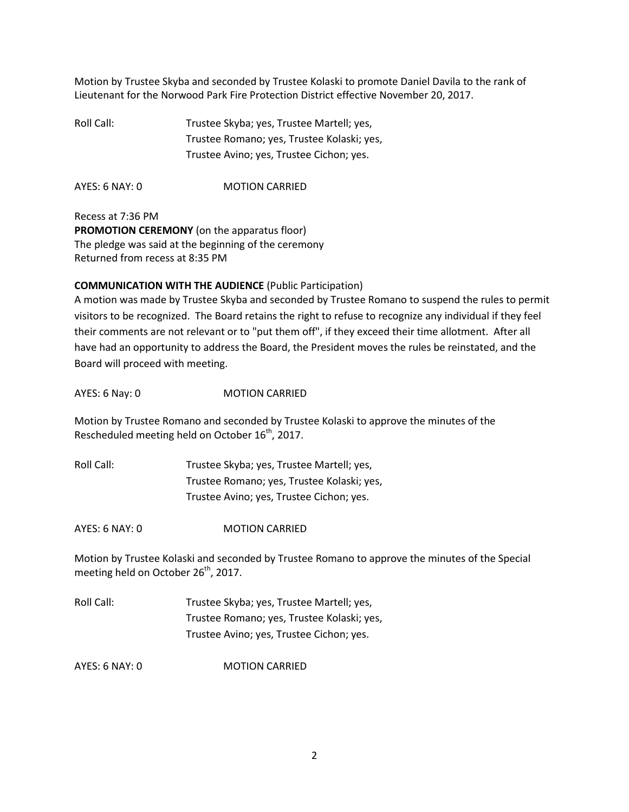Motion by Trustee Skyba and seconded by Trustee Kolaski to promote Daniel Davila to the rank of Lieutenant for the Norwood Park Fire Protection District effective November 20, 2017.

Roll Call: Trustee Skyba; yes, Trustee Martell; yes, Trustee Romano; yes, Trustee Kolaski; yes, Trustee Avino; yes, Trustee Cichon; yes.

AYES: 6 NAY: 0 MOTION CARRIED

Recess at 7:36 PM **PROMOTION CEREMONY** (on the apparatus floor) The pledge was said at the beginning of the ceremony Returned from recess at 8:35 PM

#### **COMMUNICATION WITH THE AUDIENCE** (Public Participation)

A motion was made by Trustee Skyba and seconded by Trustee Romano to suspend the rules to permit visitors to be recognized. The Board retains the right to refuse to recognize any individual if they feel their comments are not relevant or to "put them off", if they exceed their time allotment. After all have had an opportunity to address the Board, the President moves the rules be reinstated, and the Board will proceed with meeting.

AYES: 6 Nay: 0 MOTION CARRIED

Motion by Trustee Romano and seconded by Trustee Kolaski to approve the minutes of the Rescheduled meeting held on October 16<sup>th</sup>, 2017.

Roll Call: Trustee Skyba; yes, Trustee Martell; yes, Trustee Romano; yes, Trustee Kolaski; yes, Trustee Avino; yes, Trustee Cichon; yes.

AYES: 6 NAY: 0 MOTION CARRIED

Motion by Trustee Kolaski and seconded by Trustee Romano to approve the minutes of the Special meeting held on October 26<sup>th</sup>, 2017.

Roll Call: Trustee Skyba; yes, Trustee Martell; yes, Trustee Romano; yes, Trustee Kolaski; yes, Trustee Avino; yes, Trustee Cichon; yes.

AYES: 6 NAY: 0 MOTION CARRIED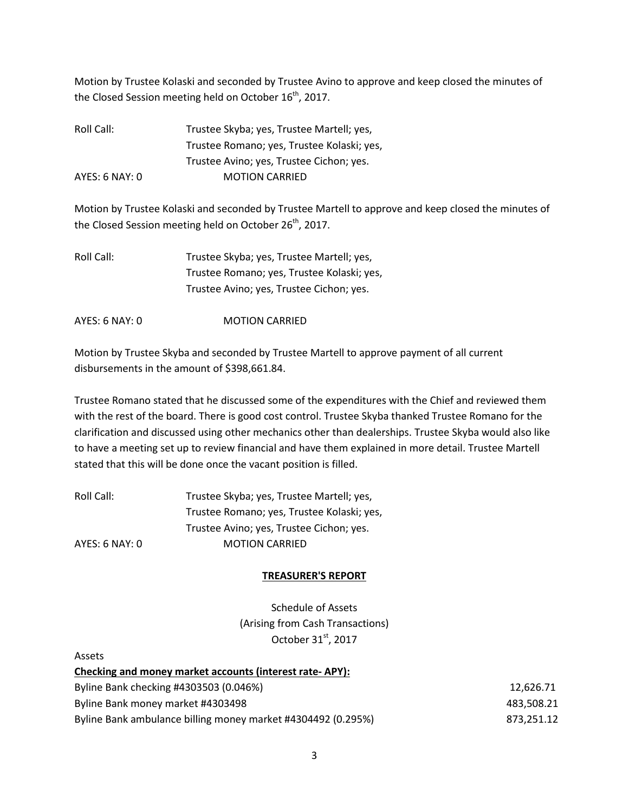Motion by Trustee Kolaski and seconded by Trustee Avino to approve and keep closed the minutes of the Closed Session meeting held on October  $16<sup>th</sup>$ , 2017.

| Roll Call:     | Trustee Skyba; yes, Trustee Martell; yes,  |
|----------------|--------------------------------------------|
|                | Trustee Romano; yes, Trustee Kolaski; yes, |
|                | Trustee Avino; yes, Trustee Cichon; yes.   |
| AYES: 6 NAY: 0 | <b>MOTION CARRIED</b>                      |

Motion by Trustee Kolaski and seconded by Trustee Martell to approve and keep closed the minutes of the Closed Session meeting held on October  $26<sup>th</sup>$ , 2017.

| Trustee Skyba; yes, Trustee Martell; yes,  |
|--------------------------------------------|
| Trustee Romano; yes, Trustee Kolaski; yes, |
| Trustee Avino; yes, Trustee Cichon; yes.   |
|                                            |

AYES: 6 NAY: 0 MOTION CARRIED

Motion by Trustee Skyba and seconded by Trustee Martell to approve payment of all current disbursements in the amount of \$398,661.84.

Trustee Romano stated that he discussed some of the expenditures with the Chief and reviewed them with the rest of the board. There is good cost control. Trustee Skyba thanked Trustee Romano for the clarification and discussed using other mechanics other than dealerships. Trustee Skyba would also like to have a meeting set up to review financial and have them explained in more detail. Trustee Martell stated that this will be done once the vacant position is filled.

| Roll Call:     | Trustee Skyba; yes, Trustee Martell; yes,  |
|----------------|--------------------------------------------|
|                | Trustee Romano; yes, Trustee Kolaski; yes, |
|                | Trustee Avino; yes, Trustee Cichon; yes.   |
| AYES: 6 NAY: 0 | <b>MOTION CARRIED</b>                      |
|                |                                            |

Assets

## **TREASURER'S REPORT**

Schedule of Assets (Arising from Cash Transactions) October  $31<sup>st</sup>$ , 2017

| Checking and money market accounts (interest rate-APY):      |            |
|--------------------------------------------------------------|------------|
| Byline Bank checking #4303503 (0.046%)                       | 12.626.71  |
| Byline Bank money market #4303498                            | 483,508.21 |
| Byline Bank ambulance billing money market #4304492 (0.295%) | 873.251.12 |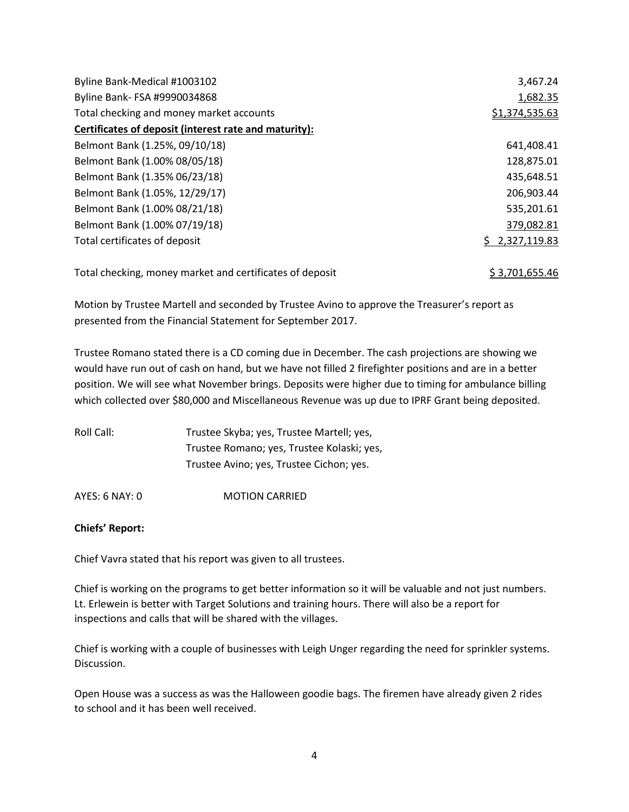| Byline Bank-Medical #1003102                          | 3,467.24       |
|-------------------------------------------------------|----------------|
| Byline Bank- FSA #9990034868                          | 1,682.35       |
| Total checking and money market accounts              | \$1,374,535.63 |
| Certificates of deposit (interest rate and maturity): |                |
| Belmont Bank (1.25%, 09/10/18)                        | 641,408.41     |
| Belmont Bank (1.00% 08/05/18)                         | 128,875.01     |
| Belmont Bank (1.35% 06/23/18)                         | 435,648.51     |
| Belmont Bank (1.05%, 12/29/17)                        | 206,903.44     |
| Belmont Bank (1.00% 08/21/18)                         | 535,201.61     |
| Belmont Bank (1.00% 07/19/18)                         | 379,082.81     |
| Total certificates of deposit                         | 2,327,119.83   |
|                                                       |                |

Total checking, money market and certificates of deposit \$ 3,701,655.46

Motion by Trustee Martell and seconded by Trustee Avino to approve the Treasurer's report as presented from the Financial Statement for September 2017.

Trustee Romano stated there is a CD coming due in December. The cash projections are showing we would have run out of cash on hand, but we have not filled 2 firefighter positions and are in a better position. We will see what November brings. Deposits were higher due to timing for ambulance billing which collected over \$80,000 and Miscellaneous Revenue was up due to IPRF Grant being deposited.

Roll Call: Trustee Skyba; yes, Trustee Martell; yes, Trustee Romano; yes, Trustee Kolaski; yes, Trustee Avino; yes, Trustee Cichon; yes.

AYES: 6 NAY: 0 MOTION CARRIED

#### **Chiefs' Report:**

Chief Vavra stated that his report was given to all trustees.

Chief is working on the programs to get better information so it will be valuable and not just numbers. Lt. Erlewein is better with Target Solutions and training hours. There will also be a report for inspections and calls that will be shared with the villages.

Chief is working with a couple of businesses with Leigh Unger regarding the need for sprinkler systems. Discussion.

Open House was a success as was the Halloween goodie bags. The firemen have already given 2 rides to school and it has been well received.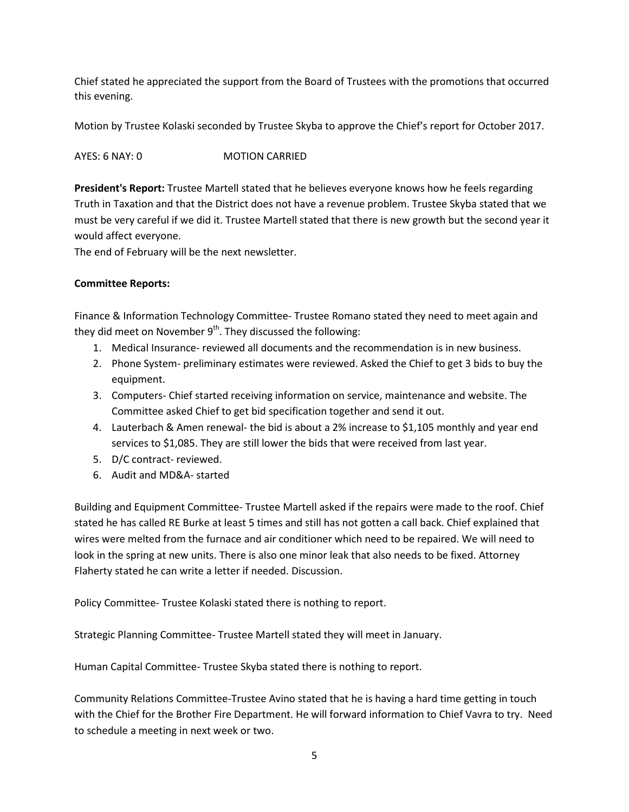Chief stated he appreciated the support from the Board of Trustees with the promotions that occurred this evening.

Motion by Trustee Kolaski seconded by Trustee Skyba to approve the Chief's report for October 2017.

AYES: 6 NAY: 0 MOTION CARRIED

**President's Report:** Trustee Martell stated that he believes everyone knows how he feels regarding Truth in Taxation and that the District does not have a revenue problem. Trustee Skyba stated that we must be very careful if we did it. Trustee Martell stated that there is new growth but the second year it would affect everyone.

The end of February will be the next newsletter.

### **Committee Reports:**

Finance & Information Technology Committee- Trustee Romano stated they need to meet again and they did meet on November  $9<sup>th</sup>$ . They discussed the following:

- 1. Medical Insurance- reviewed all documents and the recommendation is in new business.
- 2. Phone System- preliminary estimates were reviewed. Asked the Chief to get 3 bids to buy the equipment.
- 3. Computers- Chief started receiving information on service, maintenance and website. The Committee asked Chief to get bid specification together and send it out.
- 4. Lauterbach & Amen renewal- the bid is about a 2% increase to \$1,105 monthly and year end services to \$1,085. They are still lower the bids that were received from last year.
- 5. D/C contract- reviewed.
- 6. Audit and MD&A- started

Building and Equipment Committee- Trustee Martell asked if the repairs were made to the roof. Chief stated he has called RE Burke at least 5 times and still has not gotten a call back. Chief explained that wires were melted from the furnace and air conditioner which need to be repaired. We will need to look in the spring at new units. There is also one minor leak that also needs to be fixed. Attorney Flaherty stated he can write a letter if needed. Discussion.

Policy Committee- Trustee Kolaski stated there is nothing to report.

Strategic Planning Committee- Trustee Martell stated they will meet in January.

Human Capital Committee- Trustee Skyba stated there is nothing to report.

Community Relations Committee-Trustee Avino stated that he is having a hard time getting in touch with the Chief for the Brother Fire Department. He will forward information to Chief Vavra to try. Need to schedule a meeting in next week or two.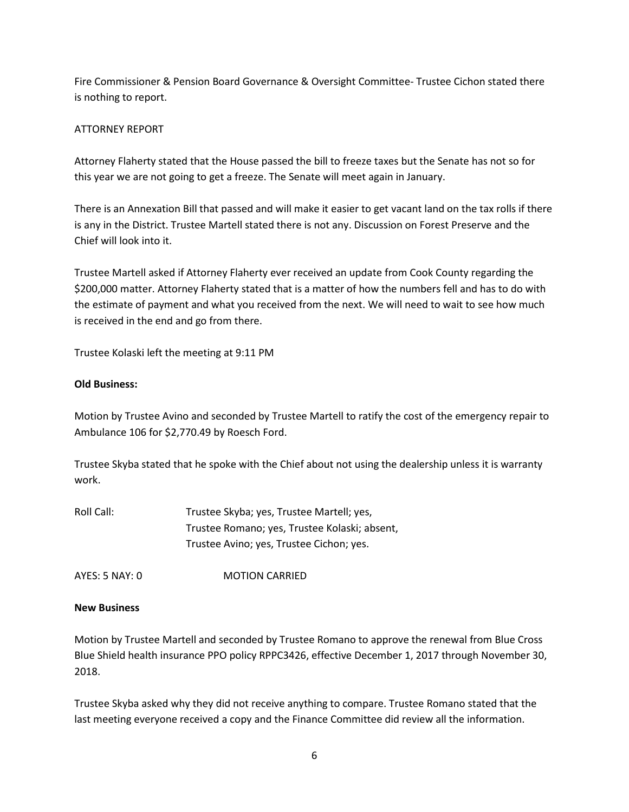Fire Commissioner & Pension Board Governance & Oversight Committee- Trustee Cichon stated there is nothing to report.

## ATTORNEY REPORT

Attorney Flaherty stated that the House passed the bill to freeze taxes but the Senate has not so for this year we are not going to get a freeze. The Senate will meet again in January.

There is an Annexation Bill that passed and will make it easier to get vacant land on the tax rolls if there is any in the District. Trustee Martell stated there is not any. Discussion on Forest Preserve and the Chief will look into it.

Trustee Martell asked if Attorney Flaherty ever received an update from Cook County regarding the \$200,000 matter. Attorney Flaherty stated that is a matter of how the numbers fell and has to do with the estimate of payment and what you received from the next. We will need to wait to see how much is received in the end and go from there.

Trustee Kolaski left the meeting at 9:11 PM

#### **Old Business:**

Motion by Trustee Avino and seconded by Trustee Martell to ratify the cost of the emergency repair to Ambulance 106 for \$2,770.49 by Roesch Ford.

Trustee Skyba stated that he spoke with the Chief about not using the dealership unless it is warranty work.

| Roll Call: | Trustee Skyba; yes, Trustee Martell; yes,     |
|------------|-----------------------------------------------|
|            | Trustee Romano; yes, Trustee Kolaski; absent, |
|            | Trustee Avino; yes, Trustee Cichon; yes.      |

AYES: 5 NAY: 0 MOTION CARRIED

#### **New Business**

Motion by Trustee Martell and seconded by Trustee Romano to approve the renewal from Blue Cross Blue Shield health insurance PPO policy RPPC3426, effective December 1, 2017 through November 30, 2018.

Trustee Skyba asked why they did not receive anything to compare. Trustee Romano stated that the last meeting everyone received a copy and the Finance Committee did review all the information.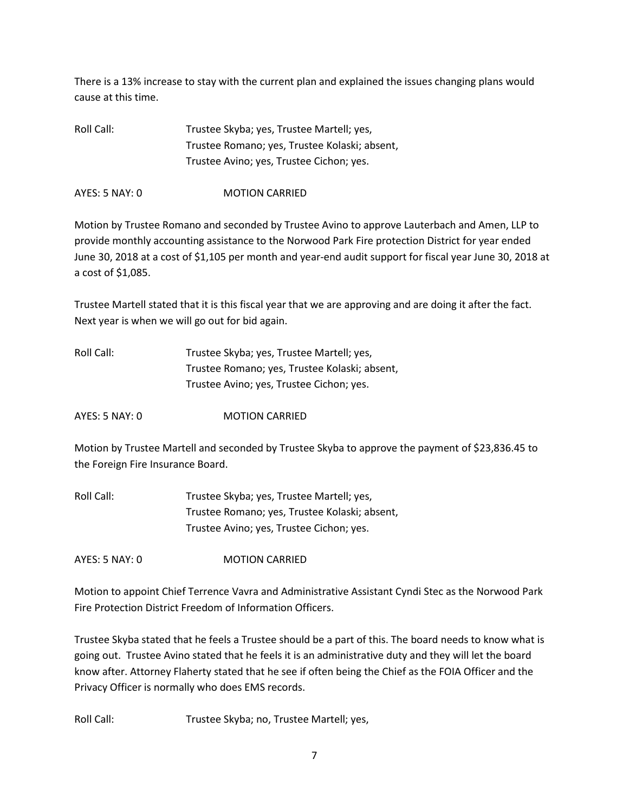There is a 13% increase to stay with the current plan and explained the issues changing plans would cause at this time.

| Roll Call: | Trustee Skyba; yes, Trustee Martell; yes,     |
|------------|-----------------------------------------------|
|            | Trustee Romano; yes, Trustee Kolaski; absent, |
|            | Trustee Avino; yes, Trustee Cichon; yes.      |

AYES: 5 NAY: 0 **MOTION CARRIED** 

Motion by Trustee Romano and seconded by Trustee Avino to approve Lauterbach and Amen, LLP to provide monthly accounting assistance to the Norwood Park Fire protection District for year ended June 30, 2018 at a cost of \$1,105 per month and year-end audit support for fiscal year June 30, 2018 at a cost of \$1,085.

Trustee Martell stated that it is this fiscal year that we are approving and are doing it after the fact. Next year is when we will go out for bid again.

| Roll Call: | Trustee Skyba; yes, Trustee Martell; yes,     |
|------------|-----------------------------------------------|
|            | Trustee Romano; yes, Trustee Kolaski; absent, |
|            | Trustee Avino; yes, Trustee Cichon; yes.      |

AYES: 5 NAY: 0 MOTION CARRIED

Motion by Trustee Martell and seconded by Trustee Skyba to approve the payment of \$23,836.45 to the Foreign Fire Insurance Board.

Roll Call: Trustee Skyba; yes, Trustee Martell; yes, Trustee Romano; yes, Trustee Kolaski; absent, Trustee Avino; yes, Trustee Cichon; yes.

AYES: 5 NAY: 0 **MOTION CARRIED** 

Motion to appoint Chief Terrence Vavra and Administrative Assistant Cyndi Stec as the Norwood Park Fire Protection District Freedom of Information Officers.

Trustee Skyba stated that he feels a Trustee should be a part of this. The board needs to know what is going out. Trustee Avino stated that he feels it is an administrative duty and they will let the board know after. Attorney Flaherty stated that he see if often being the Chief as the FOIA Officer and the Privacy Officer is normally who does EMS records.

Roll Call: Trustee Skyba; no, Trustee Martell; yes,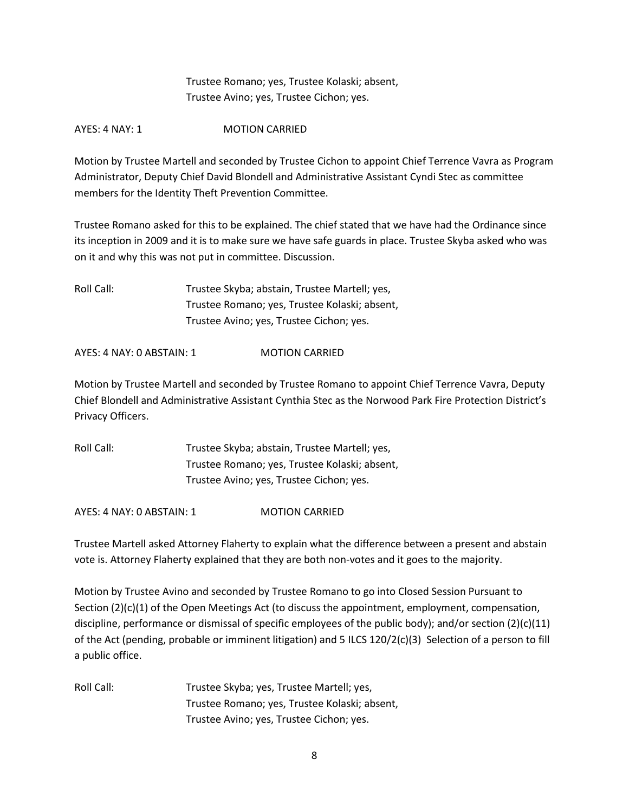# Trustee Romano; yes, Trustee Kolaski; absent, Trustee Avino; yes, Trustee Cichon; yes.

### AYES: 4 NAY: 1 MOTION CARRIED

Motion by Trustee Martell and seconded by Trustee Cichon to appoint Chief Terrence Vavra as Program Administrator, Deputy Chief David Blondell and Administrative Assistant Cyndi Stec as committee members for the Identity Theft Prevention Committee.

Trustee Romano asked for this to be explained. The chief stated that we have had the Ordinance since its inception in 2009 and it is to make sure we have safe guards in place. Trustee Skyba asked who was on it and why this was not put in committee. Discussion.

Roll Call: Trustee Skyba; abstain, Trustee Martell; yes, Trustee Romano; yes, Trustee Kolaski; absent, Trustee Avino; yes, Trustee Cichon; yes.

AYES: 4 NAY: 0 ABSTAIN: 1 MOTION CARRIED

Motion by Trustee Martell and seconded by Trustee Romano to appoint Chief Terrence Vavra, Deputy Chief Blondell and Administrative Assistant Cynthia Stec as the Norwood Park Fire Protection District's Privacy Officers.

| Roll Call: I | Trustee Skyba; abstain, Trustee Martell; yes, |
|--------------|-----------------------------------------------|
|              | Trustee Romano; yes, Trustee Kolaski; absent, |
|              | Trustee Avino; yes, Trustee Cichon; yes.      |

AYES: 4 NAY: 0 ABSTAIN: 1 MOTION CARRIED

Trustee Martell asked Attorney Flaherty to explain what the difference between a present and abstain vote is. Attorney Flaherty explained that they are both non-votes and it goes to the majority.

Motion by Trustee Avino and seconded by Trustee Romano to go into Closed Session Pursuant to Section (2)(c)(1) of the Open Meetings Act (to discuss the appointment, employment, compensation, discipline, performance or dismissal of specific employees of the public body); and/or section (2)(c)(11) of the Act (pending, probable or imminent litigation) and 5 ILCS 120/2(c)(3) Selection of a person to fill a public office.

Roll Call: Trustee Skyba; yes, Trustee Martell; yes, Trustee Romano; yes, Trustee Kolaski; absent, Trustee Avino; yes, Trustee Cichon; yes.